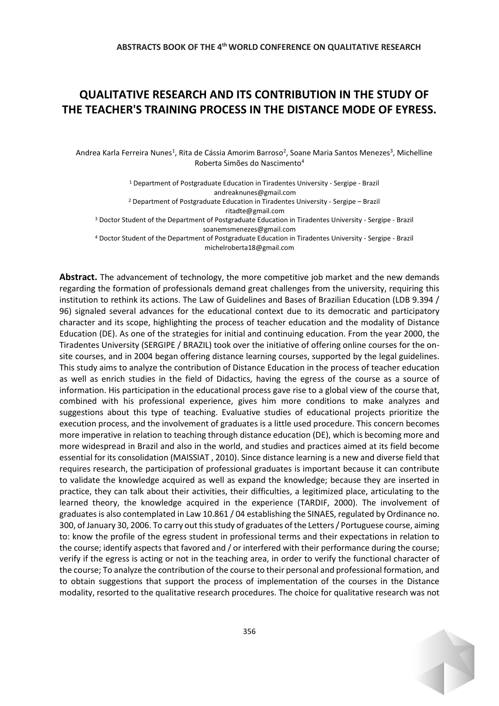## **QUALITATIVE RESEARCH AND ITS CONTRIBUTION IN THE STUDY OF THE TEACHER'S TRAINING PROCESS IN THE DISTANCE MODE OF EYRESS.**

Andrea Karla Ferreira Nunes<sup>1</sup>, Rita de Cássia Amorim Barroso<sup>2</sup>, Soane Maria Santos Menezes<sup>3</sup>, Michelline Roberta Simões do Nascimento<sup>4</sup>

<sup>1</sup> Department of Postgraduate Education in Tiradentes University - Sergipe - Brazil andreaknunes@gmail.com <sup>2</sup> Department of Postgraduate Education in Tiradentes University - Sergipe – Brazil [ritadte@gmail.com](mailto:ritadte@gmail.com) <sup>3</sup> Doctor Student of the Department of Postgraduate Education in Tiradentes University - Sergipe - Brazil [soanemsmenezes@gmail.com](mailto:soanemsmenezes@gmail.com) <sup>4</sup> Doctor Student of the Department of Postgraduate Education in Tiradentes University - Sergipe - Brazil [michelroberta18@gmail.com](mailto:michelroberta18@gmail.com) 

**Abstract.** The advancement of technology, the more competitive job market and the new demands regarding the formation of professionals demand great challenges from the university, requiring this institution to rethink its actions. The Law of Guidelines and Bases of Brazilian Education (LDB 9.394 / 96) signaled several advances for the educational context due to its democratic and participatory character and its scope, highlighting the process of teacher education and the modality of Distance Education (DE). As one of the strategies for initial and continuing education. From the year 2000, the Tiradentes University (SERGIPE / BRAZIL) took over the initiative of offering online courses for the onsite courses, and in 2004 began offering distance learning courses, supported by the legal guidelines. This study aims to analyze the contribution of Distance Education in the process of teacher education as well as enrich studies in the field of Didactics, having the egress of the course as a source of information. His participation in the educational process gave rise to a global view of the course that, combined with his professional experience, gives him more conditions to make analyzes and suggestions about this type of teaching. Evaluative studies of educational projects prioritize the execution process, and the involvement of graduates is a little used procedure. This concern becomes more imperative in relation to teaching through distance education (DE), which is becoming more and more widespread in Brazil and also in the world, and studies and practices aimed at its field become essential for its consolidation (MAISSIAT , 2010). Since distance learning is a new and diverse field that requires research, the participation of professional graduates is important because it can contribute to validate the knowledge acquired as well as expand the knowledge; because they are inserted in practice, they can talk about their activities, their difficulties, a legitimized place, articulating to the learned theory, the knowledge acquired in the experience (TARDIF, 2000). The involvement of graduates is also contemplated in Law 10.861 / 04 establishing the SINAES, regulated by Ordinance no. 300, of January 30, 2006. To carry out this study of graduates of the Letters / Portuguese course, aiming to: know the profile of the egress student in professional terms and their expectations in relation to the course; identify aspects that favored and / or interfered with their performance during the course; verify if the egress is acting or not in the teaching area, in order to verify the functional character of the course; To analyze the contribution of the course to their personal and professional formation, and to obtain suggestions that support the process of implementation of the courses in the Distance modality, resorted to the qualitative research procedures. The choice for qualitative research was not